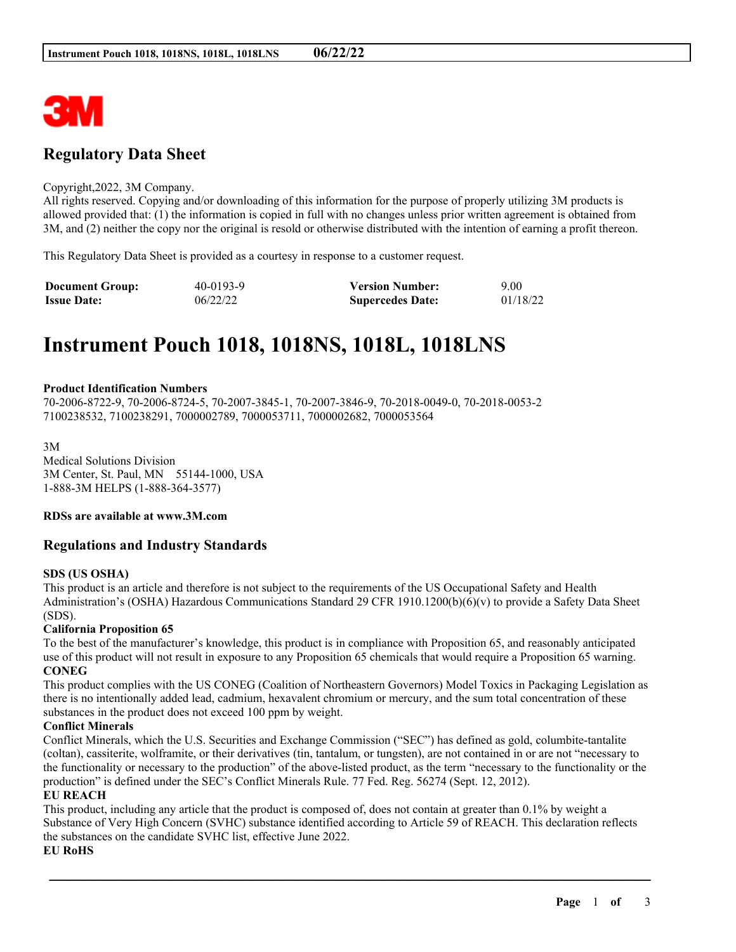

# **Regulatory Data Sheet**

#### Copyright,2022, 3M Company.

All rights reserved. Copying and/or downloading of this information for the purpose of properly utilizing 3M products is allowed provided that: (1) the information is copied in full with no changes unless prior written agreement is obtained from 3M, and (2) neither the copy nor the original is resold or otherwise distributed with the intention of earning a profit thereon.

This Regulatory Data Sheet is provided as a courtesy in response to a customer request.

| <b>Document Group:</b> | 40-0193-9 | <b>Version Number:</b>  | 9.00     |
|------------------------|-----------|-------------------------|----------|
| <b>Issue Date:</b>     | 06/22/22  | <b>Supercedes Date:</b> | 01/18/22 |

# **Instrument Pouch 1018, 1018NS, 1018L, 1018LNS**

#### **Product Identification Numbers**

70-2006-8722-9, 70-2006-8724-5, 70-2007-3845-1, 70-2007-3846-9, 70-2018-0049-0, 70-2018-0053-2 7100238532, 7100238291, 7000002789, 7000053711, 7000002682, 7000053564

3M Medical Solutions Division 3M Center, St. Paul, MN 55144-1000, USA 1-888-3M HELPS (1-888-364-3577)

#### **RDSs are available at www.3M.com**

# **Regulations and Industry Standards**

#### **SDS (US OSHA)**

This product is an article and therefore is not subject to the requirements of the US Occupational Safety and Health Administration's (OSHA) Hazardous Communications Standard 29 CFR 1910.1200(b)(6)(v) to provide a Safety Data Sheet (SDS).

#### **California Proposition 65**

To the best of the manufacturer's knowledge, this product is in compliance with Proposition 65, and reasonably anticipated use of this product will not result in exposure to any Proposition 65 chemicals that would require a Proposition 65 warning. **CONEG**

This product complies with the US CONEG (Coalition of Northeastern Governors) Model Toxics in Packaging Legislation as there is no intentionally added lead, cadmium, hexavalent chromium or mercury, and the sum total concentration of these substances in the product does not exceed 100 ppm by weight.

## **Conflict Minerals**

Conflict Minerals, which the U.S. Securities and Exchange Commission ("SEC") has defined as gold, columbite-tantalite (coltan), cassiterite, wolframite, or their derivatives (tin, tantalum, or tungsten), are not contained in or are not "necessary to the functionality or necessary to the production" of the above-listed product, as the term "necessary to the functionality or the production" is defined under the SEC's Conflict Minerals Rule. 77 Fed. Reg. 56274 (Sept. 12, 2012).

## **EU REACH**

This product, including any article that the product is composed of, does not contain at greater than 0.1% by weight a Substance of Very High Concern (SVHC) substance identified according to Article 59 of REACH. This declaration reflects the substances on the candidate SVHC list, effective June 2022. **EU RoHS**

\_\_\_\_\_\_\_\_\_\_\_\_\_\_\_\_\_\_\_\_\_\_\_\_\_\_\_\_\_\_\_\_\_\_\_\_\_\_\_\_\_\_\_\_\_\_\_\_\_\_\_\_\_\_\_\_\_\_\_\_\_\_\_\_\_\_\_\_\_\_\_\_\_\_\_\_\_\_\_\_\_\_\_\_\_\_\_\_\_\_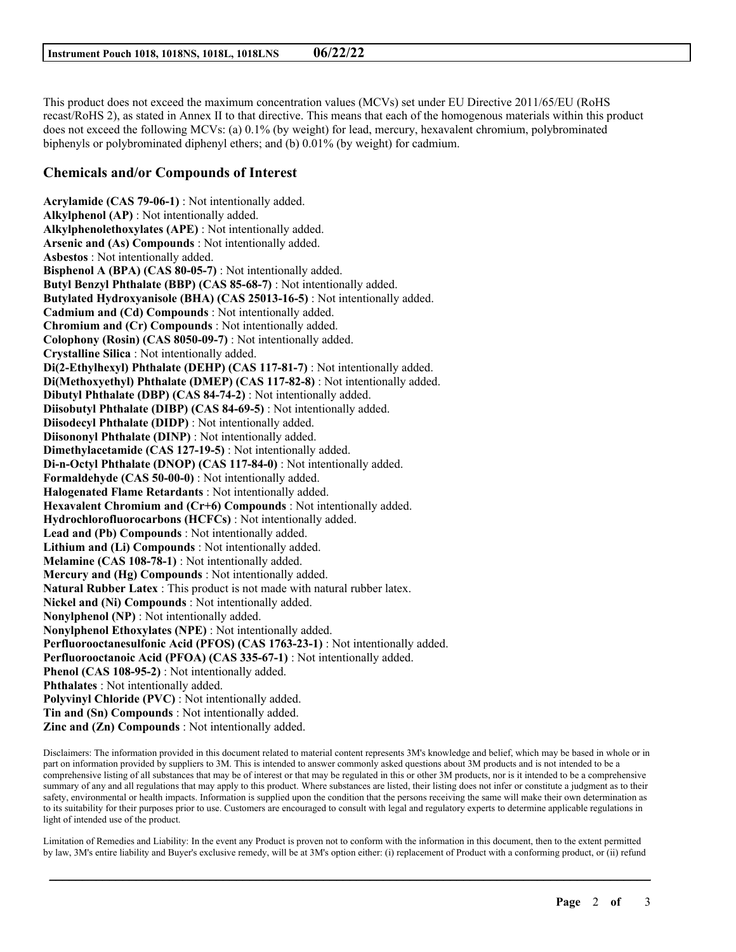This product does not exceed the maximum concentration values (MCVs) set under EU Directive 2011/65/EU (RoHS recast/RoHS 2), as stated in Annex II to that directive. This means that each of the homogenous materials within this product does not exceed the following MCVs: (a) 0.1% (by weight) for lead, mercury, hexavalent chromium, polybrominated biphenyls or polybrominated diphenyl ethers; and (b) 0.01% (by weight) for cadmium.

# **Chemicals and/or Compounds of Interest**

**Acrylamide (CAS 79-06-1)** : Not intentionally added. **Alkylphenol (AP)** : Not intentionally added. **Alkylphenolethoxylates (APE)** : Not intentionally added. **Arsenic and (As) Compounds** : Not intentionally added. **Asbestos** : Not intentionally added. **Bisphenol A (BPA) (CAS 80-05-7)** : Not intentionally added. **Butyl Benzyl Phthalate (BBP) (CAS 85-68-7)** : Not intentionally added. **Butylated Hydroxyanisole (BHA) (CAS 25013-16-5)** : Not intentionally added. **Cadmium and (Cd) Compounds** : Not intentionally added. **Chromium and (Cr) Compounds** : Not intentionally added. **Colophony (Rosin) (CAS 8050-09-7)** : Not intentionally added. **Crystalline Silica** : Not intentionally added. **Di(2-Ethylhexyl) Phthalate (DEHP) (CAS 117-81-7)** : Not intentionally added. **Di(Methoxyethyl) Phthalate (DMEP) (CAS 117-82-8)** : Not intentionally added. **Dibutyl Phthalate (DBP) (CAS 84-74-2)** : Not intentionally added. **Diisobutyl Phthalate (DIBP) (CAS 84-69-5)** : Not intentionally added. **Diisodecyl Phthalate (DIDP)** : Not intentionally added. **Diisononyl Phthalate (DINP)** : Not intentionally added. **Dimethylacetamide (CAS 127-19-5)** : Not intentionally added. **Di-n-Octyl Phthalate (DNOP) (CAS 117-84-0)** : Not intentionally added. **Formaldehyde (CAS 50-00-0)** : Not intentionally added. **Halogenated Flame Retardants** : Not intentionally added. **Hexavalent Chromium and (Cr+6) Compounds** : Not intentionally added. **Hydrochlorofluorocarbons (HCFCs)** : Not intentionally added. **Lead and (Pb) Compounds** : Not intentionally added. **Lithium and (Li) Compounds** : Not intentionally added. **Melamine (CAS 108-78-1)** : Not intentionally added. **Mercury and (Hg) Compounds** : Not intentionally added. **Natural Rubber Latex** : This product is not made with natural rubber latex. **Nickel and (Ni) Compounds** : Not intentionally added. **Nonylphenol (NP)** : Not intentionally added. **Nonylphenol Ethoxylates (NPE)** : Not intentionally added. **Perfluorooctanesulfonic Acid (PFOS) (CAS 1763-23-1)** : Not intentionally added. **Perfluorooctanoic Acid (PFOA) (CAS 335-67-1)** : Not intentionally added. **Phenol (CAS 108-95-2)** : Not intentionally added. **Phthalates** : Not intentionally added. **Polyvinyl Chloride (PVC)** : Not intentionally added. **Tin and (Sn) Compounds** : Not intentionally added. **Zinc and (Zn) Compounds** : Not intentionally added.

Disclaimers: The information provided in this document related to material content represents 3M's knowledge and belief, which may be based in whole or in part on information provided by suppliers to 3M. This is intended to answer commonly asked questions about 3M products and is not intended to be a comprehensive listing of all substances that may be of interest or that may be regulated in this or other 3M products, nor is it intended to be a comprehensive summary of any and all regulations that may apply to this product. Where substances are listed, their listing does not infer or constitute a judgment as to their safety, environmental or health impacts. Information is supplied upon the condition that the persons receiving the same will make their own determination as to its suitability for their purposes prior to use. Customers are encouraged to consult with legal and regulatory experts to determine applicable regulations in light of intended use of the product.

Limitation of Remedies and Liability: In the event any Product is proven not to conform with the information in this document, then to the extent permitted by law, 3M's entire liability and Buyer's exclusive remedy, will be at 3M's option either: (i) replacement of Product with a conforming product, or (ii) refund

\_\_\_\_\_\_\_\_\_\_\_\_\_\_\_\_\_\_\_\_\_\_\_\_\_\_\_\_\_\_\_\_\_\_\_\_\_\_\_\_\_\_\_\_\_\_\_\_\_\_\_\_\_\_\_\_\_\_\_\_\_\_\_\_\_\_\_\_\_\_\_\_\_\_\_\_\_\_\_\_\_\_\_\_\_\_\_\_\_\_